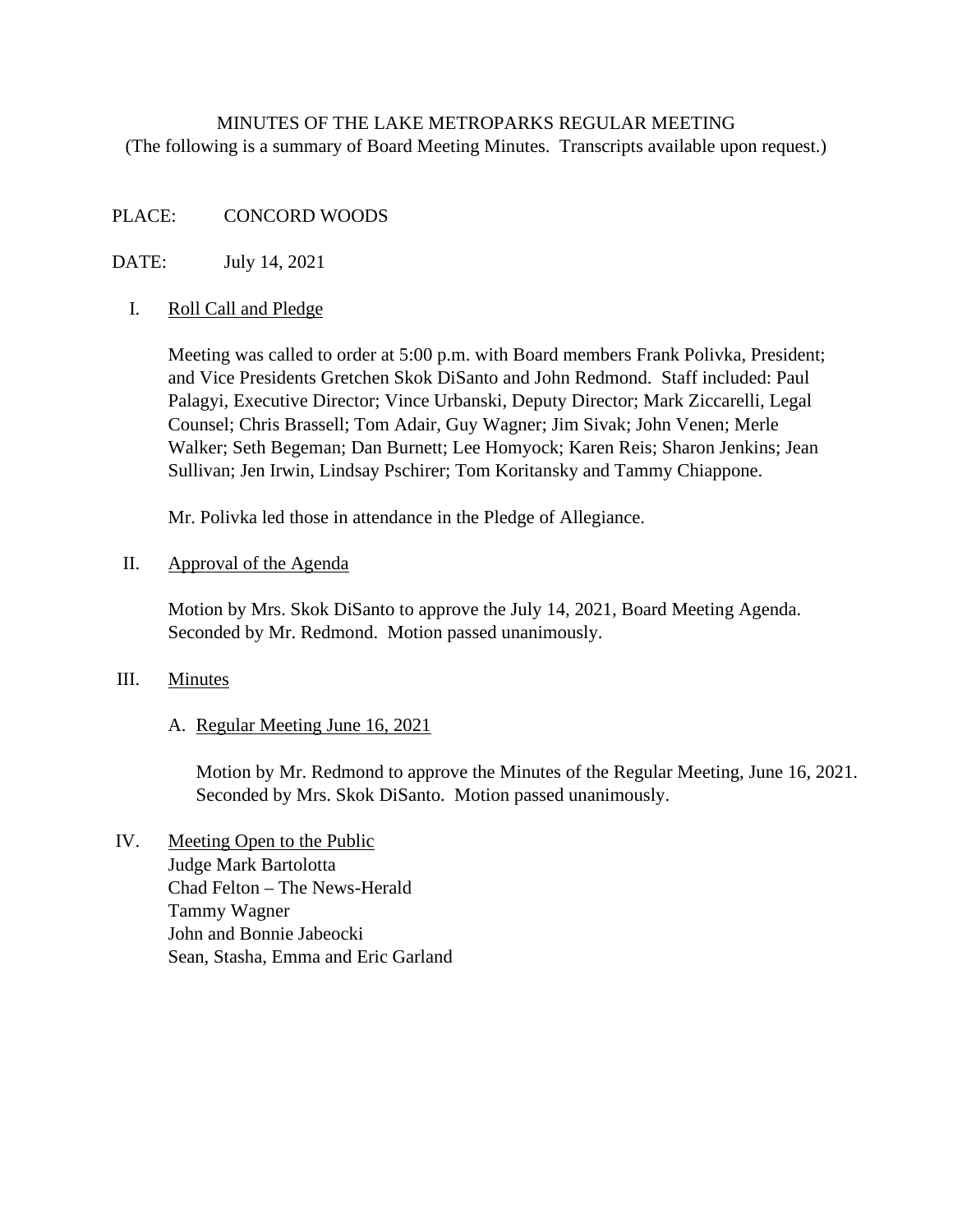# MINUTES OF THE LAKE METROPARKS REGULAR MEETING (The following is a summary of Board Meeting Minutes. Transcripts available upon request.)

# PLACE: CONCORD WOODS

# DATE: July 14, 2021

## I. Roll Call and Pledge

Meeting was called to order at 5:00 p.m. with Board members Frank Polivka, President; and Vice Presidents Gretchen Skok DiSanto and John Redmond. Staff included: Paul Palagyi, Executive Director; Vince Urbanski, Deputy Director; Mark Ziccarelli, Legal Counsel; Chris Brassell; Tom Adair, Guy Wagner; Jim Sivak; John Venen; Merle Walker; Seth Begeman; Dan Burnett; Lee Homyock; Karen Reis; Sharon Jenkins; Jean Sullivan; Jen Irwin, Lindsay Pschirer; Tom Koritansky and Tammy Chiappone.

Mr. Polivka led those in attendance in the Pledge of Allegiance.

#### II. Approval of the Agenda

Motion by Mrs. Skok DiSanto to approve the July 14, 2021, Board Meeting Agenda. Seconded by Mr. Redmond. Motion passed unanimously.

## III. Minutes

## A. Regular Meeting June 16, 2021

Motion by Mr. Redmond to approve the Minutes of the Regular Meeting, June 16, 2021. Seconded by Mrs. Skok DiSanto. Motion passed unanimously.

IV. Meeting Open to the Public Judge Mark Bartolotta Chad Felton – The News-Herald Tammy Wagner John and Bonnie Jabeocki Sean, Stasha, Emma and Eric Garland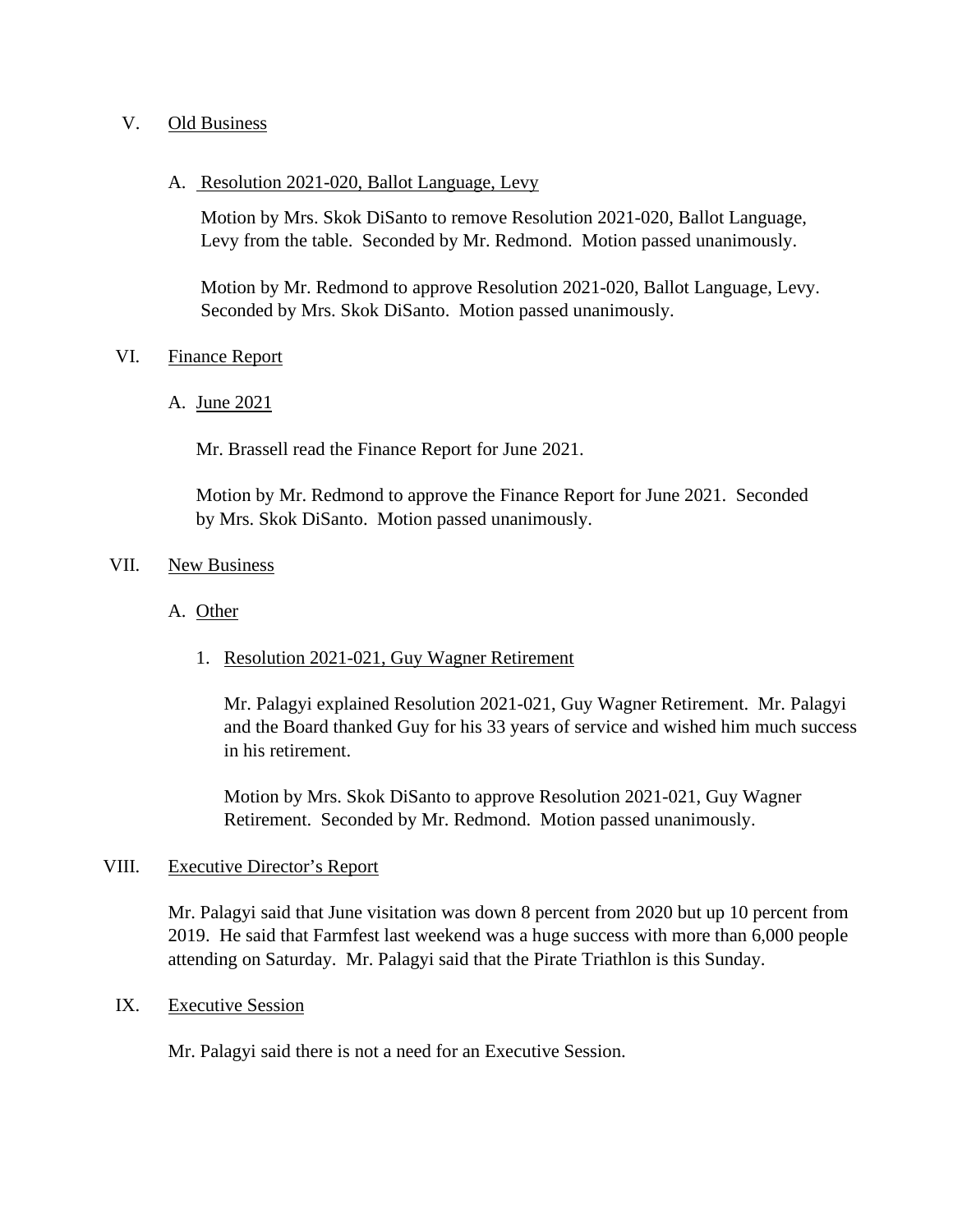## V. Old Business

#### A. Resolution 2021-020, Ballot Language, Levy

Motion by Mrs. Skok DiSanto to remove Resolution 2021-020, Ballot Language, Levy from the table. Seconded by Mr. Redmond. Motion passed unanimously.

Motion by Mr. Redmond to approve Resolution 2021-020, Ballot Language, Levy. Seconded by Mrs. Skok DiSanto. Motion passed unanimously.

#### VI. Finance Report

A. June 2021

Mr. Brassell read the Finance Report for June 2021.

 Motion by Mr. Redmond to approve the Finance Report for June 2021. Seconded by Mrs. Skok DiSanto. Motion passed unanimously.

#### VII. New Business

- A. Other
	- 1. Resolution 2021-021, Guy Wagner Retirement

Mr. Palagyi explained Resolution 2021-021, Guy Wagner Retirement. Mr. Palagyi and the Board thanked Guy for his 33 years of service and wished him much success in his retirement.

Motion by Mrs. Skok DiSanto to approve Resolution 2021-021, Guy Wagner Retirement. Seconded by Mr. Redmond. Motion passed unanimously.

## VIII. Executive Director's Report

Mr. Palagyi said that June visitation was down 8 percent from 2020 but up 10 percent from 2019. He said that Farmfest last weekend was a huge success with more than 6,000 people attending on Saturday. Mr. Palagyi said that the Pirate Triathlon is this Sunday.

## IX. Executive Session

Mr. Palagyi said there is not a need for an Executive Session.